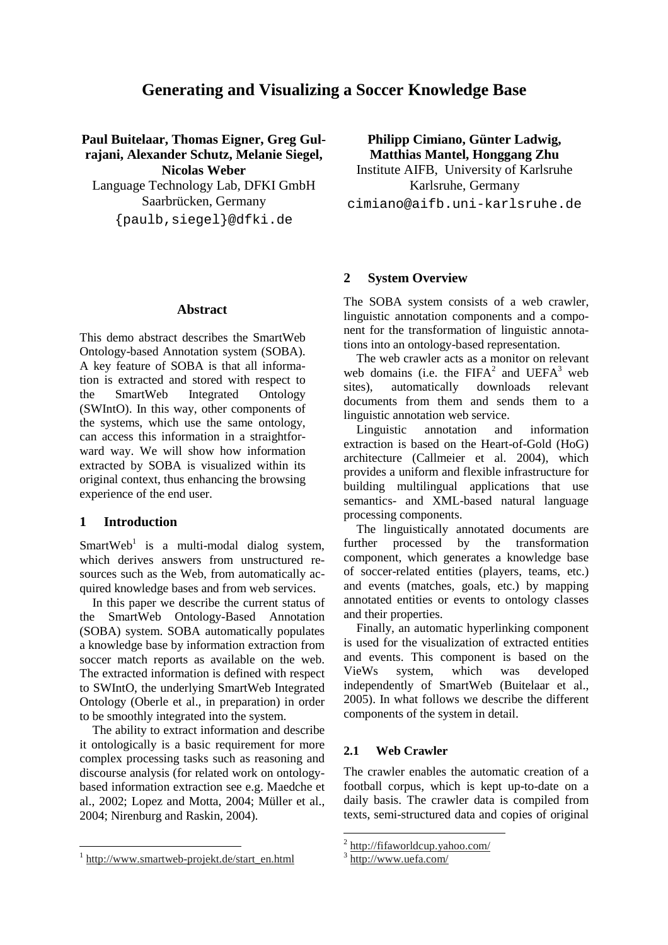# **Generating and Visualizing a Soccer Knowledge Base**

**Paul Buitelaar, Thomas Eigner, Greg Gulrajani, Alexander Schutz, Melanie Siegel, Nicolas Weber** Language Technology Lab, DFKI GmbH Saarbrücken, Germany {paulb,siegel}@dfki.de

**Abstract**

This demo abstract describes the SmartWeb Ontology-based Annotation system (SOBA). A key feature of SOBA is that all information is extracted and stored with respect to the SmartWeb Integrated Ontology (SWIntO). In this way, other components of the systems, which use the same ontology, can access this information in a straightforward way. We will show how information extracted by SOBA is visualized within its original context, thus enhancing the browsing experience of the end user.

#### **1 Introduction**

SmartWeb<sup>1</sup> is a multi-modal dialog system, which derives answers from unstructured resources such as the Web, from automatically acquired knowledge bases and from web services.

In this paper we describe the current status of the SmartWeb Ontology-Based Annotation (SOBA) system. SOBA automatically populates a knowledge base by information extraction from soccer match reports as available on the web. The extracted information is defined with respect to SWIntO, the underlying SmartWeb Integrated Ontology (Oberle et al., in preparation) in order to be smoothly integrated into the system.

The ability to extract information and describe it ontologically is a basic requirement for more complex processing tasks such as reasoning and discourse analysis (for related work on ontologybased information extraction see e.g. Maedche et al., 2002; Lopez and Motta, 2004; Müller et al., 2004; Nirenburg and Raskin, 2004).

**Philipp Cimiano, Günter Ladwig, Matthias Mantel, Honggang Zhu** Institute AIFB, University of Karlsruhe

Karlsruhe, Germany cimiano@aifb.uni-karlsruhe.de

### **2 System Overview**

The SOBA system consists of a web crawler, linguistic annotation components and a component for the transformation of linguistic annotations into an ontology-based representation.

The web crawler acts as a monitor on relevant web domains (i.e. the  $FIFA^2$  and  $UEFA^3$  web sites), automatically downloads relevant documents from them and sends them to a linguistic annotation web service.

Linguistic annotation and information extraction is based on the Heart-of-Gold (HoG) architecture (Callmeier et al. 2004), which provides a uniform and flexible infrastructure for building multilingual applications that use semantics- and XML-based natural language processing components.

The linguistically annotated documents are further processed by the transformation component, which generates a knowledge base of soccer-related entities (players, teams, etc.) and events (matches, goals, etc.) by mapping annotated entities or events to ontology classes and their properties.

Finally, an automatic hyperlinking component is used for the visualization of extracted entities and events. This component is based on the VieWs system, which was developed independently of SmartWeb (Buitelaar et al., 2005). In what follows we describe the different components of the system in detail.

#### **2.1 Web Crawler**

The crawler enables the automatic creation of a football corpus, which is kept up-to-date on a daily basis. The crawler data is compiled from texts, semi-structured data and copies of original

<sup>&</sup>lt;sup>1</sup> http://www.smartweb-projekt.de/start\_en.html

<sup>&</sup>lt;sup>2</sup> http://fifaworldcup.yahoo.com/

<sup>&</sup>lt;sup>3</sup> http://www.uefa.com/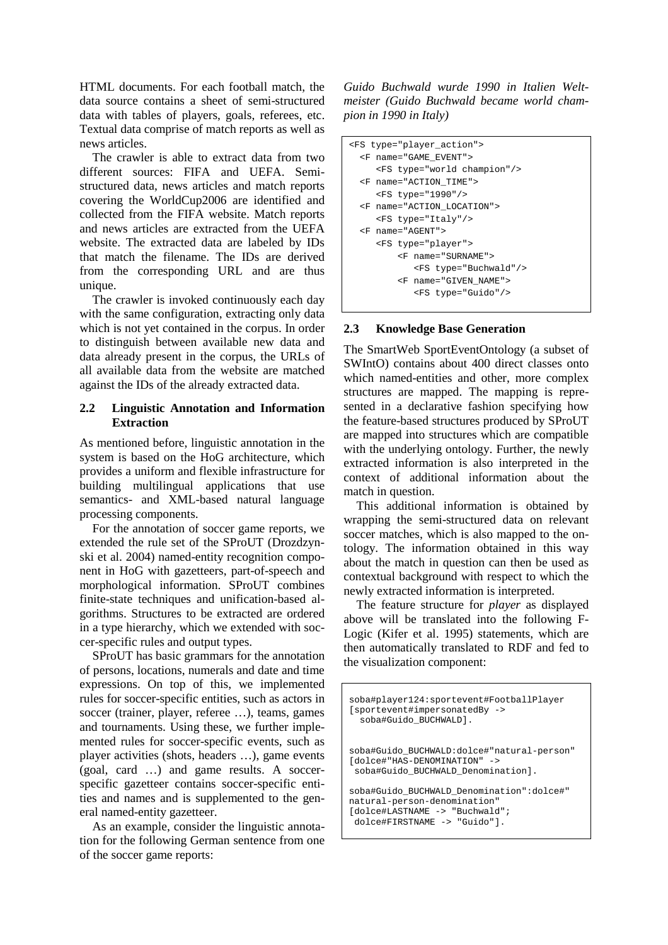HTML documents. For each football match, the data source contains a sheet of semi-structured data with tables of players, goals, referees, etc. Textual data comprise of match reports as well as news articles.

The crawler is able to extract data from two different sources: FIFA and UEFA. Semistructured data, news articles and match reports covering the WorldCup2006 are identified and collected from the FIFA website. Match reports and news articles are extracted from the UEFA website. The extracted data are labeled by IDs that match the filename. The IDs are derived from the corresponding URL and are thus unique.

The crawler is invoked continuously each day with the same configuration, extracting only data which is not yet contained in the corpus. In order to distinguish between available new data and data already present in the corpus, the URLs of all available data from the website are matched against the IDs of the already extracted data.

## **2.2 Linguistic Annotation and Information Extraction**

As mentioned before, linguistic annotation in the system is based on the HoG architecture, which provides a uniform and flexible infrastructure for building multilingual applications that use semantics- and XML-based natural language processing components.

For the annotation of soccer game reports, we extended the rule set of the SProUT (Drozdzynski et al. 2004) named-entity recognition component in HoG with gazetteers, part-of-speech and morphological information. SProUT combines finite-state techniques and unification-based algorithms. Structures to be extracted are ordered in a type hierarchy, which we extended with soccer-specific rules and output types.

SProUT has basic grammars for the annotation of persons, locations, numerals and date and time expressions. On top of this, we implemented rules for soccer-specific entities, such as actors in soccer (trainer, player, referee …), teams, games and tournaments. Using these, we further implemented rules for soccer-specific events, such as player activities (shots, headers …), game events (goal, card …) and game results. A soccerspecific gazetteer contains soccer-specific entities and names and is supplemented to the general named-entity gazetteer.

As an example, consider the linguistic annotation for the following German sentence from one of the soccer game reports:

*Guido Buchwald wurde 1990 in Italien Weltmeister (Guido Buchwald became world champion in 1990 in Italy)*

```
<FS type="player_action">
 <F name="GAME_EVENT">
     <FS type="world champion"/>
  <F name="ACTION_TIME">
    <FS type="1990"/>
 <F name="ACTION_LOCATION">
    <FS type="Italy"/>
 <F name="AGENT">
    <FS type="player">
        <F name="SURNAME">
           <FS type="Buchwald"/>
         <F name="GIVEN_NAME">
            <FS type="Guido"/>
```
# **2.3 Knowledge Base Generation**

The SmartWeb SportEventOntology (a subset of SWIntO) contains about 400 direct classes onto which named-entities and other, more complex structures are mapped. The mapping is represented in a declarative fashion specifying how the feature-based structures produced by SProUT are mapped into structures which are compatible with the underlying ontology. Further, the newly extracted information is also interpreted in the context of additional information about the match in question.

This additional information is obtained by wrapping the semi-structured data on relevant soccer matches, which is also mapped to the ontology. The information obtained in this way about the match in question can then be used as contextual background with respect to which the newly extracted information is interpreted.

The feature structure for *player* as displayed above will be translated into the following F-Logic (Kifer et al. 1995) statements, which are then automatically translated to RDF and fed to the visualization component:

```
soba#player124:sportevent#FootballPlayer
[sportevent#impersonatedBy ->
  soba#Guido_BUCHWALD].
soba#Guido_BUCHWALD:dolce#"natural-person"
[dolce#"HAS-DENOMINATION" ->
 soba#Guido_BUCHWALD_Denomination].
soba#Guido BUCHWALD Denomination":dolce#"
natural-person-denomination"
[dolce#LASTNAME -> "Buchwald";
 dolce#FIRSTNAME -> "Guido"].
```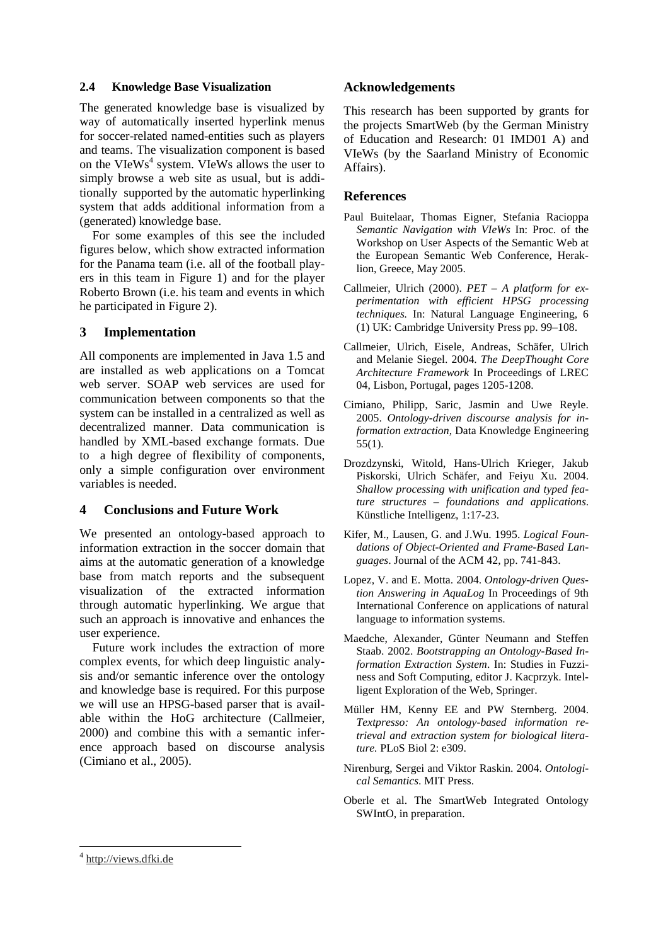#### **2.4 Knowledge Base Visualization**

The generated knowledge base is visualized by way of automatically inserted hyperlink menus for soccer-related named-entities such as players and teams. The visualization component is based on the VIeWs 4 system. VIeWs allows the user to simply browse a web site as usual, but is additionally supported by the automatic hyperlinking system that adds additional information from a (generated) knowledge base.

For some examples of this see the included figures below, which show extracted information for the Panama team (i.e. all of the football players in this team in Figure 1) and for the player Roberto Brown (i.e. his team and events in which he participated in Figure 2).

# **3 Implementation**

All components are implemented in Java 1.5 and are installed as web applications on a Tomcat web server. SOAP web services are used for communication between components so that the system can be installed in a centralized as well as decentralized manner. Data communication is handled by XML-based exchange formats. Due to a high degree of flexibility of components, only a simple configuration over environment variables is needed.

# **4 Conclusions and Future Work**

We presented an ontology-based approach to information extraction in the soccer domain that aims at the automatic generation of a knowledge base from match reports and the subsequent visualization of the extracted information through automatic hyperlinking. We argue that such an approach is innovative and enhances the user experience.

Future work includes the extraction of more complex events, for which deep linguistic analysis and/or semantic inference over the ontology and knowledge base is required. For this purpose we will use an HPSG-based parser that is available within the HoG architecture (Callmeier, 2000) and combine this with a semantic inference approach based on discourse analysis (Cimiano et al., 2005).

# **Acknowledgements**

This research has been supported by grants for the projects SmartWeb (by the German Ministry of Education and Research: 01 IMD01 A) and VIeWs (by the Saarland Ministry of Economic Affairs).

## **References**

- Paul Buitelaar, Thomas Eigner, Stefania Racioppa *Semantic Navigation with VIeWs* In: Proc. of the Workshop on User Aspects of the Semantic Web at the European Semantic Web Conference, Heraklion, Greece, May 2005.
- Callmeier, Ulrich (2000). *PET – A platform for experimentation with efficient HPSG processing techniques.* In: Natural Language Engineering, 6 (1) UK: Cambridge University Press pp. 99–108.
- Callmeier, Ulrich, Eisele, Andreas, Schäfer, Ulrich and Melanie Siegel. 2004. *The DeepThought Core Architecture Framework* In Proceedings of LREC 04, Lisbon, Portugal, pages 1205-1208.
- Cimiano, Philipp, Saric, Jasmin and Uwe Reyle. 2005. *Ontology-driven discourse analysis for information extraction,* Data Knowledge Engineering 55(1).
- Drozdzynski, Witold, Hans-Ulrich Krieger, Jakub Piskorski, Ulrich Schäfer, and Feiyu Xu. 2004. *Shallow processing with unification and typed feature structures – foundations and applications*. Künstliche Intelligenz, 1:17-23.
- Kifer, M., Lausen, G. and J.Wu. 1995. *Logical Foundations of Object-Oriented and Frame-Based Languages*. Journal of the ACM 42, pp. 741-843.
- Lopez, V. and E. Motta. 2004. *Ontology-driven Question Answering in AquaLog* In Proceedings of 9th International Conference on applications of natural language to information systems.
- Maedche, Alexander, Günter Neumann and Steffen Staab. 2002. *Bootstrapping an Ontology-Based Information Extraction System*. In: Studies in Fuzziness and Soft Computing, editor J. Kacprzyk. Intelligent Exploration of the Web, Springer.
- Müller HM, Kenny EE and PW Sternberg. 2004. *Textpresso: An ontology-based information retrieval and extraction system for biological literature.* PLoS Biol 2: e309.
- Nirenburg, Sergei and Viktor Raskin. 2004. *Ontological Semantics*. MIT Press.
- Oberle et al. The SmartWeb Integrated Ontology SWIntO, in preparation.

<sup>&</sup>lt;sup>4</sup> http://views.dfki.de